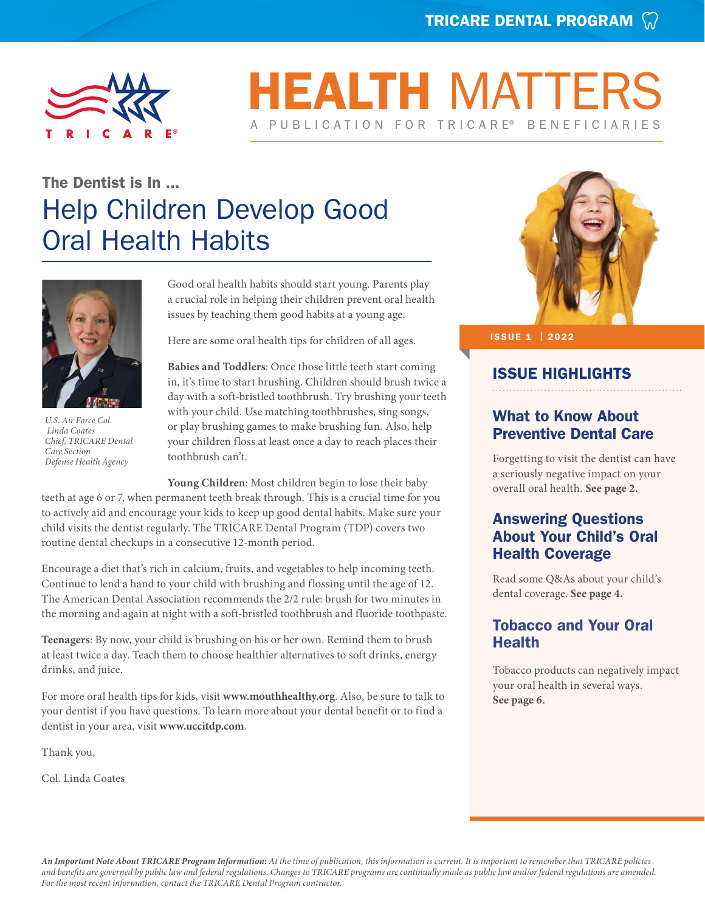

## **HEALTH MATTE** A PUBLICATION FOR TRICARE® BENEFICIARIES

## The Dentist is In ... Help Children Develop Good Oral Health Habits



*U.S. Air Force Col. Linda Coates Chief, TRICARE Dental Care Section Defense Health Agency*

Good oral health habits should start young. Parents play a crucial role in helping their children prevent oral health issues by teaching them good habits at a young age.

Here are some oral health tips for children of all ages.

**Babies and Toddlers**: Once those little teeth start coming in, it's time to start brushing. Children should brush twice a day with a soft-bristled toothbrush. Try brushing your teeth with your child. Use matching toothbrushes, sing songs, or play brushing games to make brushing fun. Also, help your children floss at least once a day to reach places their toothbrush can't.

**Young Children**: Most children begin to lose their baby teeth at age 6 or 7, when permanent teeth break through. This is a crucial time for you to actively aid and encourage your kids to keep up good dental habits. Make sure your child visits the dentist regularly. The TRICARE Dental Program (TDP) covers two routine dental checkups in a consecutive 12-month period.

Encourage a diet that's rich in calcium, fruits, and vegetables to help incoming teeth. Continue to lend a hand to your child with brushing and flossing until the age of 12. The American Dental Association recommends the 2/2 rule: brush for two minutes in the morning and again at night with a soft-bristled toothbrush and fluoride toothpaste.

**Teenagers**: By now, your child is brushing on his or her own. Remind them to brush at least twice a day. Teach them to choose healthier alternatives to soft drinks, energy drinks, and juice.

For more oral health tips for kids, visit **[www.mouthhealthy.org](http://www.mouthhealthy.org)**. Also, be sure to talk to your dentist if you have questions. To learn more about your dental benefit or to find a dentist in your area, visit **[www.uccitdp.com](http://www.uccitdp.com)**.

Thank you,

Col. Linda Coates



#### ISSUE 1 | 2022

#### ISSUE HIGHLIGHTS

#### What to Know About Preventive Dental Care

Forgetting to visit the dentist can have a seriously negative impact on your overall oral health. **[See page](#page-1-0) 2.**

#### Answering Questions About Your Child's Oral Health Coverage

Read some Q&As about your child's dental coverage. **[See page](#page-3-0) 4.**

#### Tobacco and Your Oral **Health**

Tobacco products can negatively impact your oral health in several ways. **[See page 6.](#page-5-0)**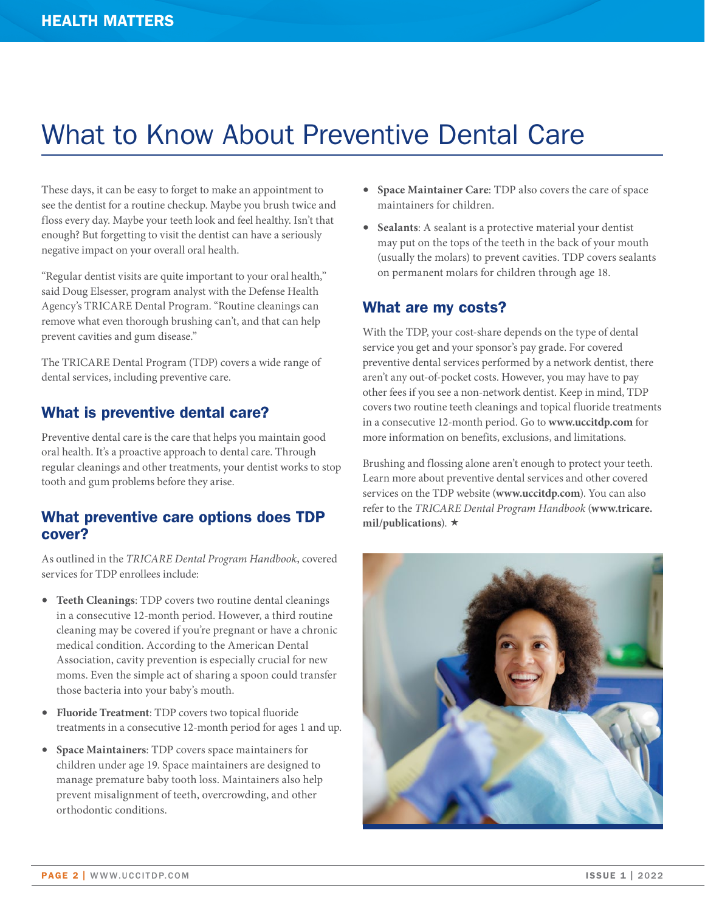## <span id="page-1-0"></span>What to Know About Preventive Dental Care

These days, it can be easy to forget to make an appointment to see the dentist for a routine checkup. Maybe you brush twice and floss every day. Maybe your teeth look and feel healthy. Isn't that enough? But forgetting to visit the dentist can have a seriously negative impact on your overall oral health.

"Regular dentist visits are quite important to your oral health," said Doug Elsesser, program analyst with the Defense Health Agency's TRICARE Dental Program. "Routine cleanings can remove what even thorough brushing can't, and that can help prevent cavities and gum disease."

The TRICARE Dental Program (TDP) covers a wide range of dental services, including preventive care.

#### What is preventive dental care?

Preventive dental care is the care that helps you maintain good oral health. It's a proactive approach to dental care. Through regular cleanings and other treatments, your dentist works to stop tooth and gum problems before they arise.

#### What preventive care options does TDP cover?

As outlined in the *TRICARE Dental Program Handbook*, covered services for TDP enrollees include:

- **Teeth Cleanings**: TDP covers two routine dental cleanings in a consecutive 12-month period. However, a third routine cleaning may be covered if you're pregnant or have a chronic medical condition. According to the American Dental Association, cavity prevention is especially crucial for new moms. Even the simple act of sharing a spoon could transfer those bacteria into your baby's mouth.
- **Fluoride Treatment**: TDP covers two topical fluoride treatments in a consecutive 12-month period for ages 1 and up.
- **Space Maintainers**: TDP covers space maintainers for children under age 19. Space maintainers are designed to manage premature baby tooth loss. Maintainers also help prevent misalignment of teeth, overcrowding, and other orthodontic conditions.
- **Space Maintainer Care**: TDP also covers the care of space maintainers for children.
- **Sealants**: A sealant is a protective material your dentist may put on the tops of the teeth in the back of your mouth (usually the molars) to prevent cavities. TDP covers sealants on permanent molars for children through age 18.

#### What are my costs?

With the TDP, your cost-share depends on the type of dental service you get and your sponsor's pay grade. For covered preventive dental services performed by a network dentist, there aren't any out-of-pocket costs. However, you may have to pay other fees if you see a non-network dentist. Keep in mind, TDP covers two routine teeth cleanings and topical fluoride treatments in a consecutive 12-month period. Go to **[www.uccitdp.com](http://www.uccitdp.com)** for more information on benefits, exclusions, and limitations.

Brushing and flossing alone aren't enough to protect your teeth. Learn more about preventive dental services and other covered services on the TDP website (**[www.uccitdp.com](http://www.uccitdp.com)**). You can also refer to the *TRICARE Dental Program Handbook* (**[www.tricare.](http://www.tricare.mil/publications)** [mil/publications](http://www.tricare.mil/publications)).  $\star$ 

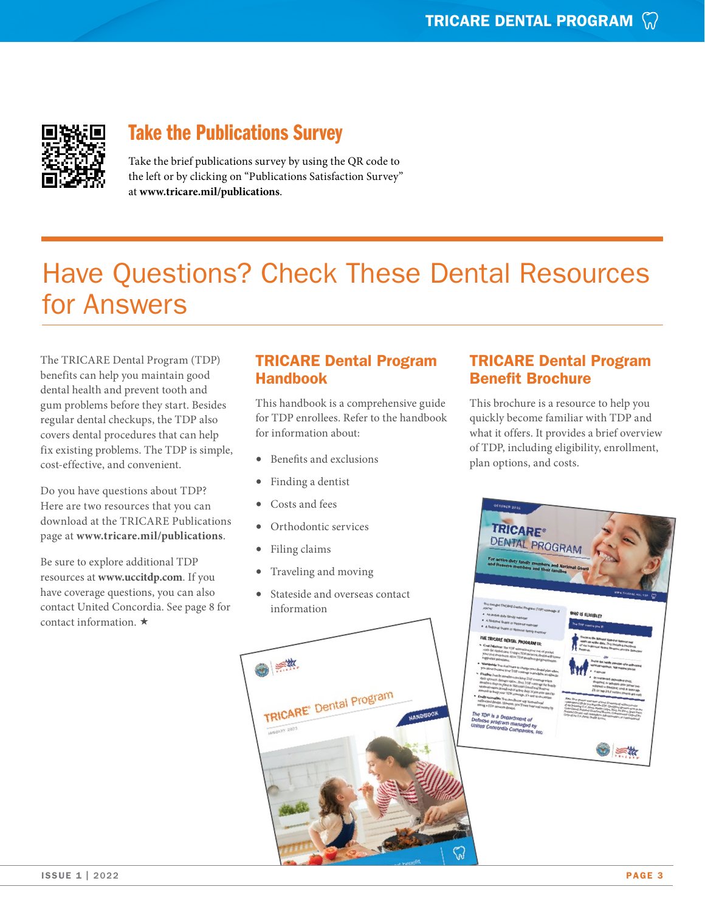

#### Take the Publications Survey

Take the brief publications survey by using the QR code to the left or by clicking on "Publications Satisfaction Survey" at **[www.tricare.mil/publications](https://www.tricare.mil/publications)**.

## Have Questions? Check These Dental Resources for Answers

The TRICARE Dental Program (TDP) benefits can help you maintain good dental health and prevent tooth and gum problems before they start. Besides regular dental checkups, the TDP also covers dental procedures that can help fix existing problems. The TDP is simple, cost-effective, and convenient.

Do you have questions about TDP? Here are two resources that you can download at the TRICARE Publications page at **www.tricare.mil/publications**.

Be sure to explore additional TDP resources at **www.uccitdp.com**. If you have coverage questions, you can also contact United Concordia. See page 8 for contact information.  $\star$ 

#### TRICARE Dental Program Handbook

This handbook is a comprehensive guide for TDP enrollees. Refer to the handbook for information about:

- Benefits and exclusions
- Finding a dentist
- Costs and fees
- Orthodontic services
- Filing claims
- Traveling and moving
- Stateside and overseas contact information



#### TRICARE Dental Program Benefit Brochure

This brochure is a resource to help you quickly become familiar with TDP and what it offers. It provides a brief overview of TDP, including eligibility, enrollment, plan options, and costs.

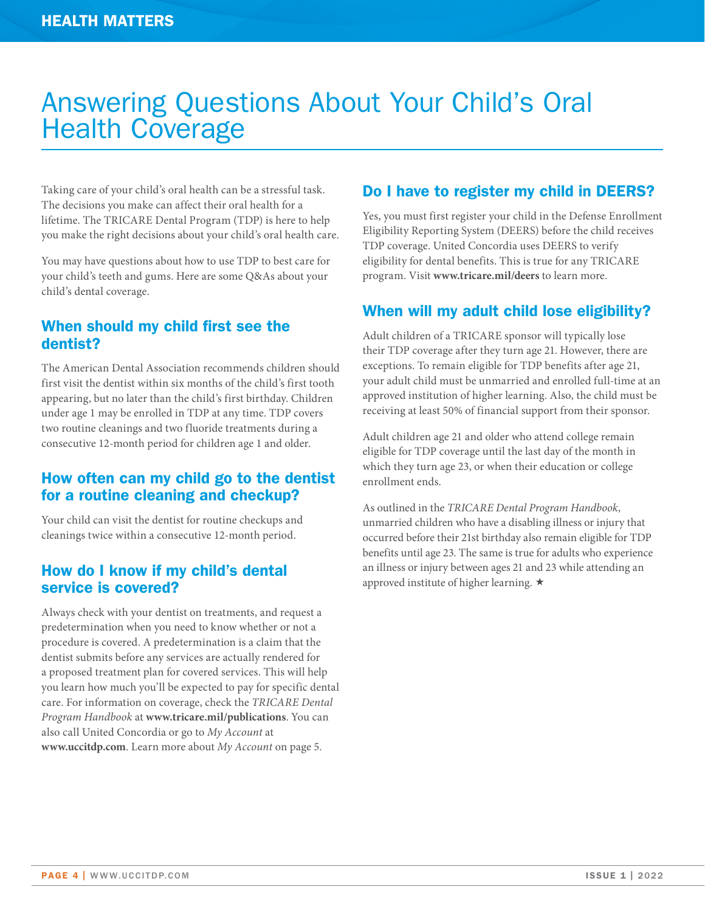## <span id="page-3-0"></span>Answering Questions About Your Child's Oral Health Coverage

Taking care of your child's oral health can be a stressful task. The decisions you make can affect their oral health for a lifetime. The TRICARE Dental Program (TDP) is here to help you make the right decisions about your child's oral health care.

You may have questions about how to use TDP to best care for your child's teeth and gums. Here are some Q&As about your child's dental coverage.

#### When should my child first see the dentist?

The American Dental Association recommends children should first visit the dentist within six months of the child's first tooth appearing, but no later than the child's first birthday. Children under age 1 may be enrolled in TDP at any time. TDP covers two routine cleanings and two fluoride treatments during a consecutive 12-month period for children age 1 and older.

#### How often can my child go to the dentist for a routine cleaning and checkup?

Your child can visit the dentist for routine checkups and cleanings twice within a consecutive 12-month period.

#### How do I know if my child's dental service is covered?

Always check with your dentist on treatments, and request a predetermination when you need to know whether or not a procedure is covered. A predetermination is a claim that the dentist submits before any services are actually rendered for a proposed treatment plan for covered services. This will help you learn how much you'll be expected to pay for specific dental care. For information on coverage, check the *TRICARE Dental Program Handbook* at **[www.tricare.mil/publications](http://www.tricare.mil/publications)**. You can also call United Concordia or go to *My Account* at **[www.uccitdp.com](http://www.uccitdp.com)**. Learn more about *My Account* on page 5.

#### Do I have to register my child in DEERS?

Yes, you must first register your child in the Defense Enrollment Eligibility Reporting System (DEERS) before the child receives TDP coverage. United Concordia uses DEERS to verify eligibility for dental benefits. This is true for any TRICARE program. Visit **[www.tricare.mil/deers](http://www.tricare.mil/deers)** to learn more.

#### When will my adult child lose eligibility?

Adult children of a TRICARE sponsor will typically lose their TDP coverage after they turn age 21. However, there are exceptions. To remain eligible for TDP benefits after age 21, your adult child must be unmarried and enrolled full-time at an approved institution of higher learning. Also, the child must be receiving at least 50% of financial support from their sponsor.

Adult children age 21 and older who attend college remain eligible for TDP coverage until the last day of the month in which they turn age 23, or when their education or college enrollment ends.

As outlined in the *TRICARE Dental Program Handbook*, unmarried children who have a disabling illness or injury that occurred before their 21st birthday also remain eligible for TDP benefits until age 23. The same is true for adults who experience an illness or injury between ages 21 and 23 while attending an approved institute of higher learning.  $\star$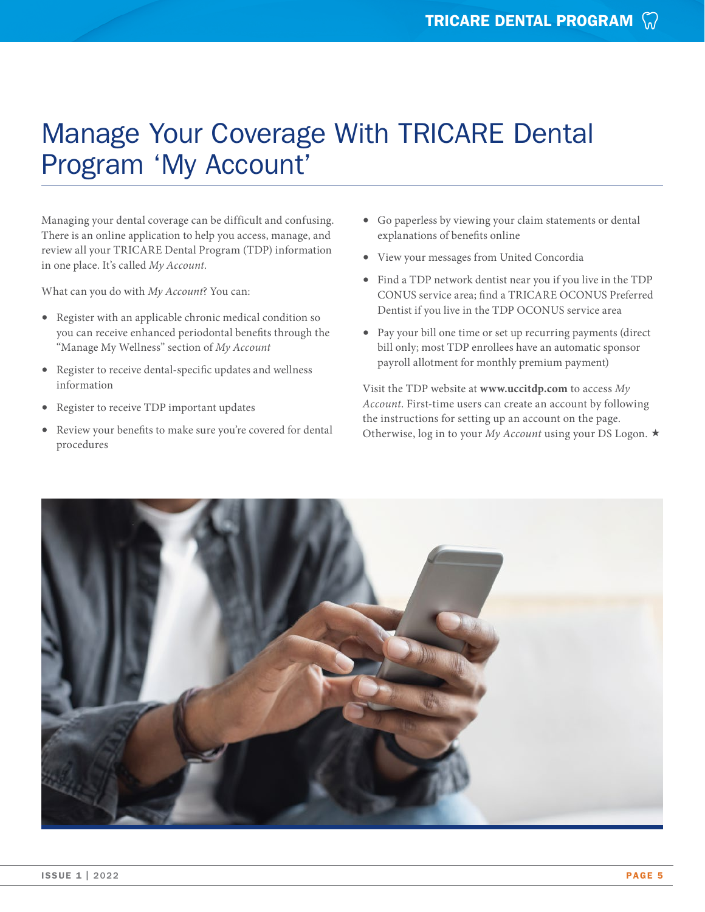## Manage Your Coverage With TRICARE Dental Program 'My Account'

Managing your dental coverage can be difficult and confusing. There is an online application to help you access, manage, and review all your TRICARE Dental Program (TDP) information in one place. It's called *My Account*.

What can you do with *My Account*? You can:

- Register with an applicable chronic medical condition so you can receive enhanced periodontal benefits through the "Manage My Wellness" section of *My Account*
- Register to receive dental-specific updates and wellness information
- Register to receive TDP important updates
- Review your benefits to make sure you're covered for dental procedures
- Go paperless by viewing your claim statements or dental explanations of benefits online
- View your messages from United Concordia
- Find a TDP network dentist near you if you live in the TDP CONUS service area; find a TRICARE OCONUS Preferred Dentist if you live in the TDP OCONUS service area
- Pay your bill one time or set up recurring payments (direct bill only; most TDP enrollees have an automatic sponsor payroll allotment for monthly premium payment)

Visit the TDP website at **[www.uccitdp.com](http://www.uccitdp.com)** to access *My Account*. First-time users can create an account by following the instructions for setting up an account on the page. Otherwise, log in to your *My Account* using your DS Logon.  $\star$ 

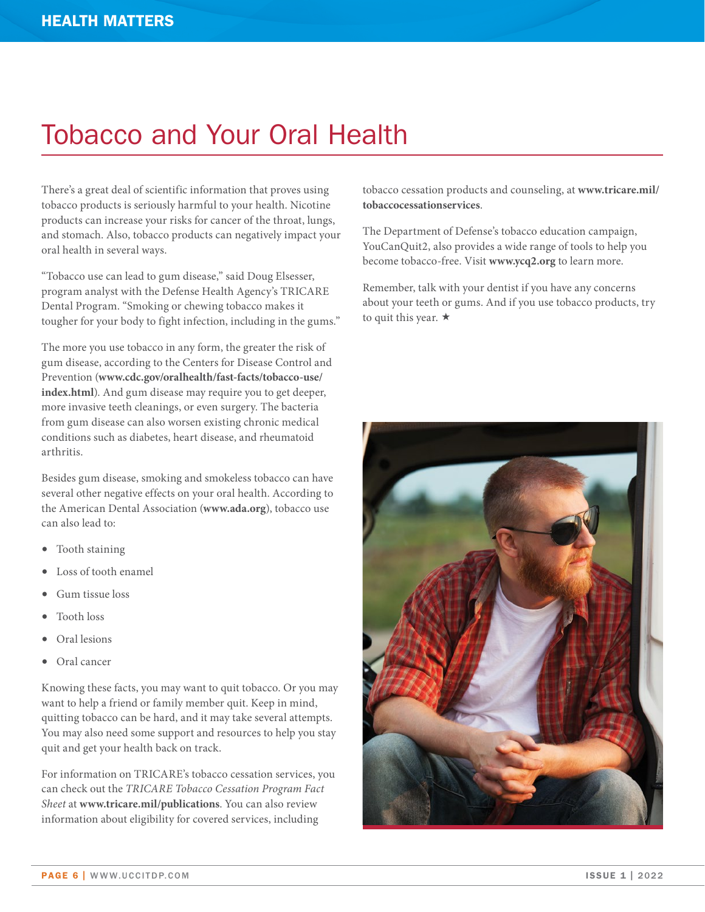## <span id="page-5-0"></span>Tobacco and Your Oral Health

There's a great deal of scientific information that proves using tobacco products is seriously harmful to your health. Nicotine products can increase your risks for cancer of the throat, lungs, and stomach. Also, tobacco products can negatively impact your oral health in several ways.

"Tobacco use can lead to gum disease," said Doug Elsesser, program analyst with the Defense Health Agency's TRICARE Dental Program. "Smoking or chewing tobacco makes it tougher for your body to fight infection, including in the gums."

The more you use tobacco in any form, the greater the risk of gum disease, according to the Centers for Disease Control and Prevention (**[www.cdc.gov/oralhealth/fast-facts/tobacco-use/](http://www.cdc.gov/oralhealth/fast-facts/tobacco-use/index.html) [index.html](http://www.cdc.gov/oralhealth/fast-facts/tobacco-use/index.html)**). And gum disease may require you to get deeper, more invasive teeth cleanings, or even surgery. The bacteria from gum disease can also worsen existing chronic medical conditions such as diabetes, heart disease, and rheumatoid arthritis.

Besides gum disease, smoking and smokeless tobacco can have several other negative effects on your oral health. According to the American Dental Association (**[www.ada.org](http://www.ada.org)**), tobacco use can also lead to:

- Tooth staining
- Loss of tooth enamel
- Gum tissue loss
- Tooth loss
- Oral lesions
- Oral cancer

Knowing these facts, you may want to quit tobacco. Or you may want to help a friend or family member quit. Keep in mind, quitting tobacco can be hard, and it may take several attempts. You may also need some support and resources to help you stay quit and get your health back on track.

For information on TRICARE's tobacco cessation services, you can check out the *TRICARE Tobacco Cessation Program Fact Sheet* at **[www.tricare.mil/publications](http://www.tricare.mil/publications)**. You can also review information about eligibility for covered services, including

tobacco cessation products and counseling, at **[www.tricare.mil/](http://www.tricare.mil/tobaccocessationservices) [tobaccocessationservices](http://www.tricare.mil/tobaccocessationservices)**.

The Department of Defense's tobacco education campaign, YouCanQuit2, also provides a wide range of tools to help you become tobacco-free. Visit **[www.ycq2.org](http://www.ycq2.org)** to learn more.

Remember, talk with your dentist if you have any concerns about your teeth or gums. And if you use tobacco products, try to quit this year.  $\star$ 

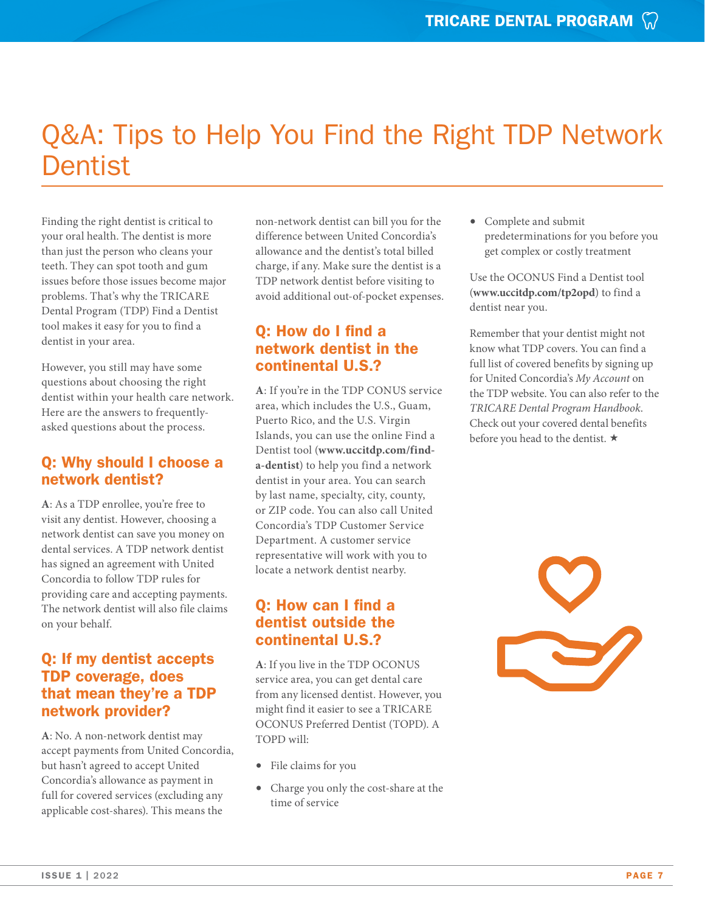## <span id="page-6-0"></span>Q&A: Tips to Help You Find the Right TDP Network **Dentist**

Finding the right dentist is critical to your oral health. The dentist is more than just the person who cleans your teeth. They can spot tooth and gum issues before those issues become major problems. That's why the TRICARE Dental Program (TDP) Find a Dentist tool makes it easy for you to find a dentist in your area.

However, you still may have some questions about choosing the right dentist within your health care network. Here are the answers to frequentlyasked questions about the process.

#### Q: Why should I choose a network dentist?

**A**: As a TDP enrollee, you're free to visit any dentist. However, choosing a network dentist can save you money on dental services. A TDP network dentist has signed an agreement with United Concordia to follow TDP rules for providing care and accepting payments. The network dentist will also file claims on your behalf.

#### Q: If my dentist accepts TDP coverage, does that mean they're a TDP network provider?

**A**: No. A non-network dentist may accept payments from United Concordia, but hasn't agreed to accept United Concordia's allowance as payment in full for covered services (excluding any applicable cost-shares). This means the

non-network dentist can bill you for the difference between United Concordia's allowance and the dentist's total billed charge, if any. Make sure the dentist is a TDP network dentist before visiting to avoid additional out-of-pocket expenses.

#### Q: How do I find a network dentist in the continental U.S.?

**A**: If you're in the TDP CONUS service area, which includes the U.S., Guam, Puerto Rico, and the U.S. Virgin Islands, you can use the online Find a Dentist tool (**[www.uccitdp.com/find](http://www.uccitdp.com/find-a-dentist)[a-dentist](http://www.uccitdp.com/find-a-dentist)**) to help you find a network dentist in your area. You can search by last name, specialty, city, county, or ZIP code. You can also call United Concordia's TDP Customer Service Department. A customer service representative will work with you to locate a network dentist nearby.

#### Q: How can I find a dentist outside the continental U.S.?

**A**: If you live in the TDP OCONUS service area, you can get dental care from any licensed dentist. However, you might find it easier to see a TRICARE OCONUS Preferred Dentist (TOPD). A TOPD will:

- File claims for you
- Charge you only the cost-share at the time of service

• Complete and submit predeterminations for you before you get complex or costly treatment

Use the OCONUS Find a Dentist tool (**[www.uccitdp.com/tp2opd](http://www.uccitdp.com/tp2opd)**) to find a dentist near you.

Remember that your dentist might not know what TDP covers. You can find a full list of covered benefits by signing up for United Concordia's *My Account* on the TDP website. You can also refer to the *TRICARE Dental Program Handbook*. Check out your covered dental benefits before you head to the dentist.  $\star$